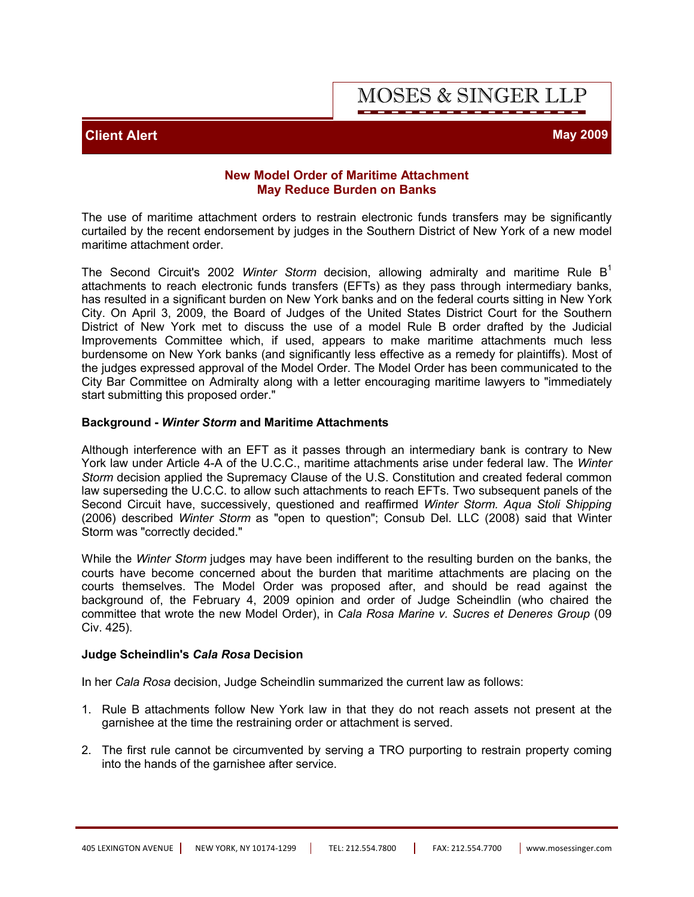# **MOSES & SINGER LLP**

## **Client Alert May 2009**

#### **New Model Order of Maritime Attachment May Reduce Burden on Banks**

The use of maritime attachment orders to restrain electronic funds transfers may be significantly curtailed by the recent endorsement by judges in the Southern District of New York of a new model maritime attachment order.

The Second Circuit's 2002 *Winter Storm* decision, allowing admiralty and maritime Rule B<sup>1</sup> attachments to reach electronic funds transfers (EFTs) as they pass through intermediary banks, has resulted in a significant burden on New York banks and on the federal courts sitting in New York City. On April 3, 2009, the Board of Judges of the United States District Court for the Southern District of New York met to discuss the use of a model Rule B order drafted by the Judicial Improvements Committee which, if used, appears to make maritime attachments much less burdensome on New York banks (and significantly less effective as a remedy for plaintiffs). Most of the judges expressed approval of the Model Order. The Model Order has been communicated to the City Bar Committee on Admiralty along with a letter encouraging maritime lawyers to "immediately start submitting this proposed order."

#### **Background -** *Winter Storm* **and Maritime Attachments**

Although interference with an EFT as it passes through an intermediary bank is contrary to New York law under Article 4-A of the U.C.C., maritime attachments arise under federal law. The *Winter Storm* decision applied the Supremacy Clause of the U.S. Constitution and created federal common law superseding the U.C.C. to allow such attachments to reach EFTs. Two subsequent panels of the Second Circuit have, successively, questioned and reaffirmed *Winter Storm. Aqua Stoli Shipping* (2006) described *Winter Storm* as "open to question"; Consub Del. LLC (2008) said that Winter Storm was "correctly decided."

While the *Winter Storm* judges may have been indifferent to the resulting burden on the banks, the courts have become concerned about the burden that maritime attachments are placing on the courts themselves. The Model Order was proposed after, and should be read against the background of, the February 4, 2009 opinion and order of Judge Scheindlin (who chaired the committee that wrote the new Model Order), in *Cala Rosa Marine v. Sucres et Deneres Group* (09 Civ. 425).

#### **Judge Scheindlin's** *Cala Rosa* **Decision**

In her *Cala Rosa* decision, Judge Scheindlin summarized the current law as follows:

- 1. Rule B attachments follow New York law in that they do not reach assets not present at the garnishee at the time the restraining order or attachment is served.
- 2. The first rule cannot be circumvented by serving a TRO purporting to restrain property coming into the hands of the garnishee after service.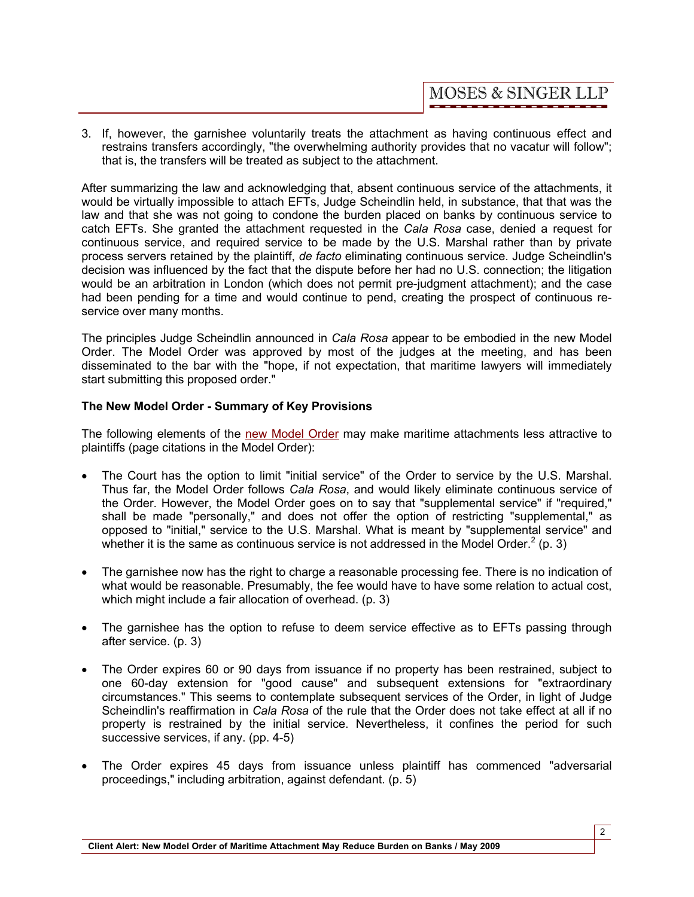3. If, however, the garnishee voluntarily treats the attachment as having continuous effect and restrains transfers accordingly, "the overwhelming authority provides that no vacatur will follow"; that is, the transfers will be treated as subject to the attachment.

After summarizing the law and acknowledging that, absent continuous service of the attachments, it would be virtually impossible to attach EFTs, Judge Scheindlin held, in substance, that that was the law and that she was not going to condone the burden placed on banks by continuous service to catch EFTs. She granted the attachment requested in the *Cala Rosa* case, denied a request for continuous service, and required service to be made by the U.S. Marshal rather than by private process servers retained by the plaintiff, *de facto* eliminating continuous service. Judge Scheindlin's decision was influenced by the fact that the dispute before her had no U.S. connection; the litigation would be an arbitration in London (which does not permit pre-judgment attachment); and the case had been pending for a time and would continue to pend, creating the prospect of continuous reservice over many months.

The principles Judge Scheindlin announced in *Cala Rosa* appear to be embodied in the new Model Order. The Model Order was approved by most of the judges at the meeting, and has been disseminated to the bar with the "hope, if not expectation, that maritime lawyers will immediately start submitting this proposed order."

### **The New Model Order - Summary of Key Provisions**

The following elements of the new Model Order may make maritime attachments less attractive to plaintiffs (page citations in the Model Order):

- The Court has the option to limit "initial service" of the Order to service by the U.S. Marshal. Thus far, the Model Order follows *Cala Rosa*, and would likely eliminate continuous service of the Order. However, the Model Order goes on to say that "supplemental service" if "required," shall be made "personally," and does not offer the option of restricting "supplemental," as opposed to "initial," service to the U.S. Marshal. What is meant by "supplemental service" and whether it is the same as continuous service is not addressed in the Model Order.<sup>2</sup> (p. 3)
- The garnishee now has the right to charge a reasonable processing fee. There is no indication of what would be reasonable. Presumably, the fee would have to have some relation to actual cost, which might include a fair allocation of overhead. (p. 3)
- The garnishee has the option to refuse to deem service effective as to EFTs passing through after service. (p. 3)
- · The Order expires 60 or 90 days from issuance if no property has been restrained, subject to one 60-day extension for "good cause" and subsequent extensions for "extraordinary circumstances." This seems to contemplate subsequent services of the Order, in light of Judge Scheindlin's reaffirmation in *Cala Rosa* of the rule that the Order does not take effect at all if no property is restrained by the initial service. Nevertheless, it confines the period for such successive services, if any. (pp. 4-5)
- The Order expires 45 days from issuance unless plaintiff has commenced "adversarial proceedings," including arbitration, against defendant. (p. 5)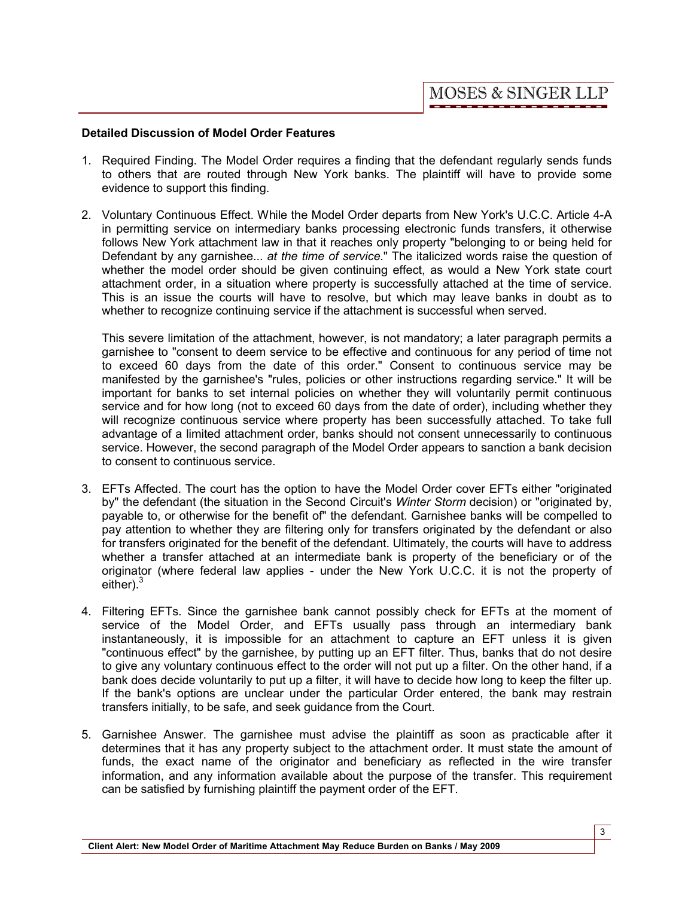### **Detailed Discussion of Model Order Features**

- 1. Required Finding. The Model Order requires a finding that the defendant regularly sends funds to others that are routed through New York banks. The plaintiff will have to provide some evidence to support this finding.
- 2. Voluntary Continuous Effect. While the Model Order departs from New York's U.C.C. Article 4-A in permitting service on intermediary banks processing electronic funds transfers, it otherwise follows New York attachment law in that it reaches only property "belonging to or being held for Defendant by any garnishee... *at the time of service*." The italicized words raise the question of whether the model order should be given continuing effect, as would a New York state court attachment order, in a situation where property is successfully attached at the time of service. This is an issue the courts will have to resolve, but which may leave banks in doubt as to whether to recognize continuing service if the attachment is successful when served.

This severe limitation of the attachment, however, is not mandatory; a later paragraph permits a garnishee to "consent to deem service to be effective and continuous for any period of time not to exceed 60 days from the date of this order." Consent to continuous service may be manifested by the garnishee's "rules, policies or other instructions regarding service." It will be important for banks to set internal policies on whether they will voluntarily permit continuous service and for how long (not to exceed 60 days from the date of order), including whether they will recognize continuous service where property has been successfully attached. To take full advantage of a limited attachment order, banks should not consent unnecessarily to continuous service. However, the second paragraph of the Model Order appears to sanction a bank decision to consent to continuous service.

- 3. EFTs Affected. The court has the option to have the Model Order cover EFTs either "originated by" the defendant (the situation in the Second Circuit's *Winter Storm* decision) or "originated by, payable to, or otherwise for the benefit of" the defendant. Garnishee banks will be compelled to pay attention to whether they are filtering only for transfers originated by the defendant or also for transfers originated for the benefit of the defendant. Ultimately, the courts will have to address whether a transfer attached at an intermediate bank is property of the beneficiary or of the originator (where federal law applies - under the New York U.C.C. it is not the property of either).<sup>3</sup>
- 4. Filtering EFTs. Since the garnishee bank cannot possibly check for EFTs at the moment of service of the Model Order, and EFTs usually pass through an intermediary bank instantaneously, it is impossible for an attachment to capture an EFT unless it is given "continuous effect" by the garnishee, by putting up an EFT filter. Thus, banks that do not desire to give any voluntary continuous effect to the order will not put up a filter. On the other hand, if a bank does decide voluntarily to put up a filter, it will have to decide how long to keep the filter up. If the bank's options are unclear under the particular Order entered, the bank may restrain transfers initially, to be safe, and seek guidance from the Court.
- 5. Garnishee Answer. The garnishee must advise the plaintiff as soon as practicable after it determines that it has any property subject to the attachment order. It must state the amount of funds, the exact name of the originator and beneficiary as reflected in the wire transfer information, and any information available about the purpose of the transfer. This requirement can be satisfied by furnishing plaintiff the payment order of the EFT.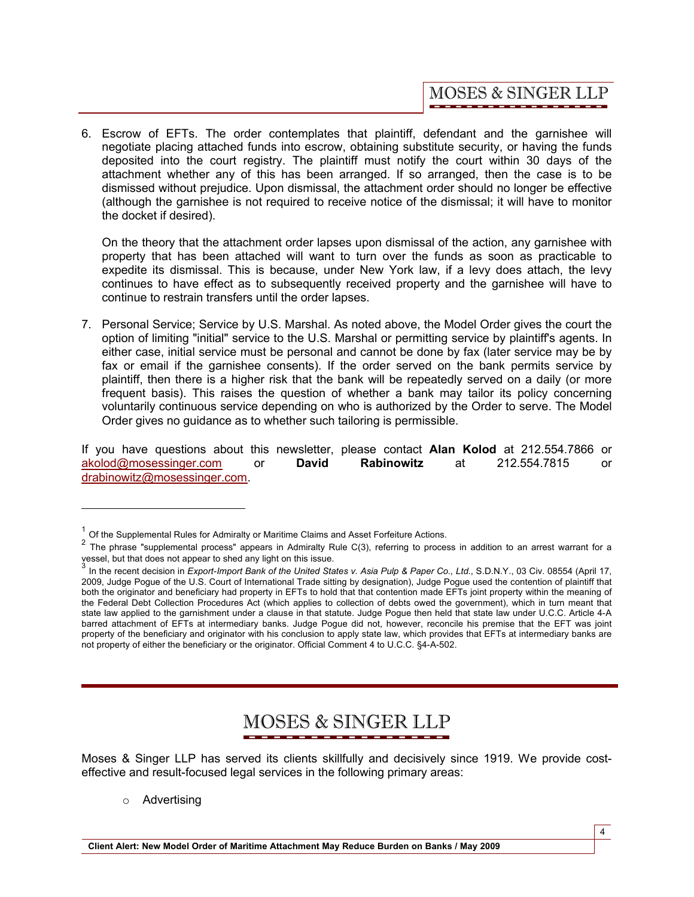6. Escrow of EFTs. The order contemplates that plaintiff, defendant and the garnishee will negotiate placing attached funds into escrow, obtaining substitute security, or having the funds deposited into the court registry. The plaintiff must notify the court within 30 days of the attachment whether any of this has been arranged. If so arranged, then the case is to be dismissed without prejudice. Upon dismissal, the attachment order should no longer be effective (although the garnishee is not required to receive notice of the dismissal; it will have to monitor the docket if desired).

On the theory that the attachment order lapses upon dismissal of the action, any garnishee with property that has been attached will want to turn over the funds as soon as practicable to expedite its dismissal. This is because, under New York law, if a levy does attach, the levy continues to have effect as to subsequently received property and the garnishee will have to continue to restrain transfers until the order lapses.

7. Personal Service; Service by U.S. Marshal. As noted above, the Model Order gives the court the option of limiting "initial" service to the U.S. Marshal or permitting service by plaintiff's agents. In either case, initial service must be personal and cannot be done by fax (later service may be by fax or email if the garnishee consents). If the order served on the bank permits service by plaintiff, then there is a higher risk that the bank will be repeatedly served on a daily (or more frequent basis). This raises the question of whether a bank may tailor its policy concerning voluntarily continuous service depending on who is authorized by the Order to serve. The Model Order gives no guidance as to whether such tailoring is permissible.

If you have questions about this newsletter, please contact **Alan Kolod** at 212.554.7866 or akolod@mosessinger.com or **David Rabinowitz** at 212.554.7815 or drabinowitz@mosessinger.com.

# **MOSES & SINGER LLP**

Moses & Singer LLP has served its clients skillfully and decisively since 1919. We provide costeffective and result-focused legal services in the following primary areas:

o Advertising

 $1$  Of the Supplemental Rules for Admiralty or Maritime Claims and Asset Forfeiture Actions.

<sup>&</sup>lt;sup>2</sup> The phrase "supplemental process" appears in Admiralty Rule C(3), referring to process in addition to an arrest warrant for a vessel, but that does not appear to shed any light on this issue.<br>3 In the magnet decision in Expeditional Paulus (the United Off

In the recent decision in *Export-Import Bank of the United States v. Asia Pulp & Paper Co., Ltd*., S.D.N.Y., 03 Civ. 08554 (April 17, 2009, Judge Pogue of the U.S. Court of International Trade sitting by designation), Judge Pogue used the contention of plaintiff that both the originator and beneficiary had property in EFTs to hold that that contention made EFTs joint property within the meaning of the Federal Debt Collection Procedures Act (which applies to collection of debts owed the government), which in turn meant that state law applied to the garnishment under a clause in that statute. Judge Pogue then held that state law under U.C.C. Article 4-A barred attachment of EFTs at intermediary banks. Judge Pogue did not, however, reconcile his premise that the EFT was joint property of the beneficiary and originator with his conclusion to apply state law, which provides that EFTs at intermediary banks are not property of either the beneficiary or the originator. Official Comment 4 to U.C.C. §4-A-502.